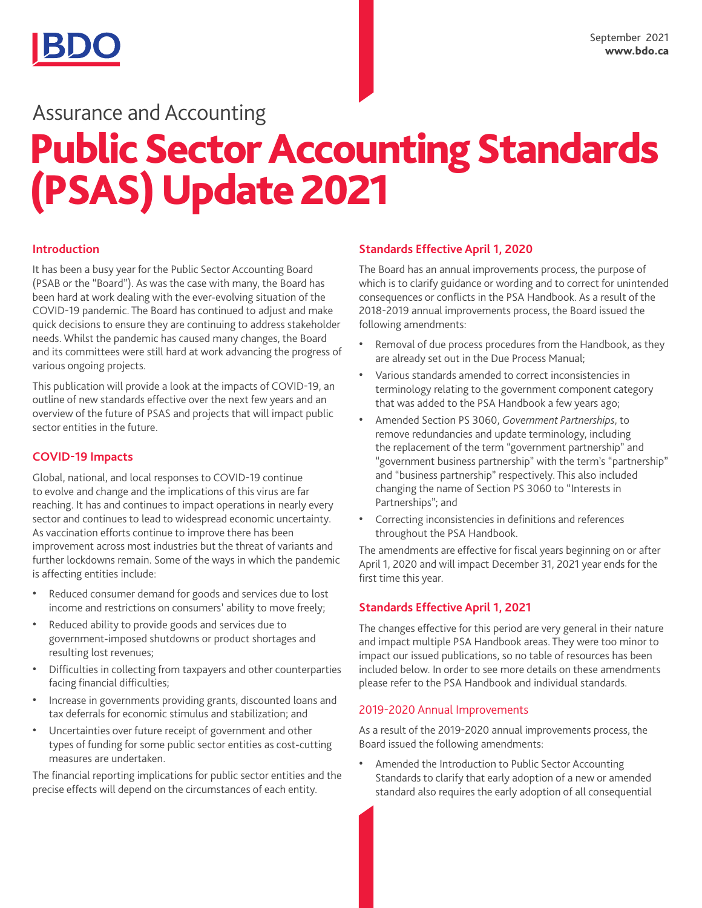## Assurance and Accounting

# Public Sector Accounting Standards (PSAS) Update 2021

#### **Introduction**

It has been a busy year for the Public Sector Accounting Board (PSAB or the "Board"). As was the case with many, the Board has been hard at work dealing with the ever-evolving situation of the COVID-19 pandemic. The Board has continued to adjust and make quick decisions to ensure they are continuing to address stakeholder needs. Whilst the pandemic has caused many changes, the Board and its committees were still hard at work advancing the progress of various ongoing projects.

This publication will provide a look at the impacts of COVID-19, an outline of new standards effective over the next few years and an overview of the future of PSAS and projects that will impact public sector entities in the future.

#### **COVID-19 Impacts**

Global, national, and local responses to COVID-19 continue to evolve and change and the implications of this virus are far reaching. It has and continues to impact operations in nearly every sector and continues to lead to widespread economic uncertainty. As vaccination efforts continue to improve there has been improvement across most industries but the threat of variants and further lockdowns remain. Some of the ways in which the pandemic is affecting entities include:

- Reduced consumer demand for goods and services due to lost income and restrictions on consumers' ability to move freely;
- Reduced ability to provide goods and services due to government-imposed shutdowns or product shortages and resulting lost revenues;
- Difficulties in collecting from taxpayers and other counterparties facing financial difficulties;
- Increase in governments providing grants, discounted loans and tax deferrals for economic stimulus and stabilization; and
- Uncertainties over future receipt of government and other types of funding for some public sector entities as cost-cutting measures are undertaken.

The financial reporting implications for public sector entities and the precise effects will depend on the circumstances of each entity.

### **Standards Effective April 1, 2020**

The Board has an annual improvements process, the purpose of which is to clarify guidance or wording and to correct for unintended consequences or conflicts in the PSA Handbook. As a result of the 2018-2019 annual improvements process, the Board issued the following amendments:

- Removal of due process procedures from the Handbook, as they are already set out in the Due Process Manual;
- Various standards amended to correct inconsistencies in terminology relating to the government component category that was added to the PSA Handbook a few years ago;
- Amended Section PS 3060, *Government Partnerships*, to remove redundancies and update terminology, including the replacement of the term "government partnership" and "government business partnership" with the term's "partnership" and "business partnership" respectively. This also included changing the name of Section PS 3060 to "Interests in Partnerships"; and
- Correcting inconsistencies in definitions and references throughout the PSA Handbook.

The amendments are effective for fiscal years beginning on or after April 1, 2020 and will impact December 31, 2021 year ends for the first time this year.

#### **Standards Effective April 1, 2021**

The changes effective for this period are very general in their nature and impact multiple PSA Handbook areas. They were too minor to impact our issued publications, so no table of resources has been included below. In order to see more details on these amendments please refer to the PSA Handbook and individual standards.

#### 2019-2020 Annual Improvements

As a result of the 2019-2020 annual improvements process, the Board issued the following amendments:

• Amended the Introduction to Public Sector Accounting Standards to clarify that early adoption of a new or amended standard also requires the early adoption of all consequential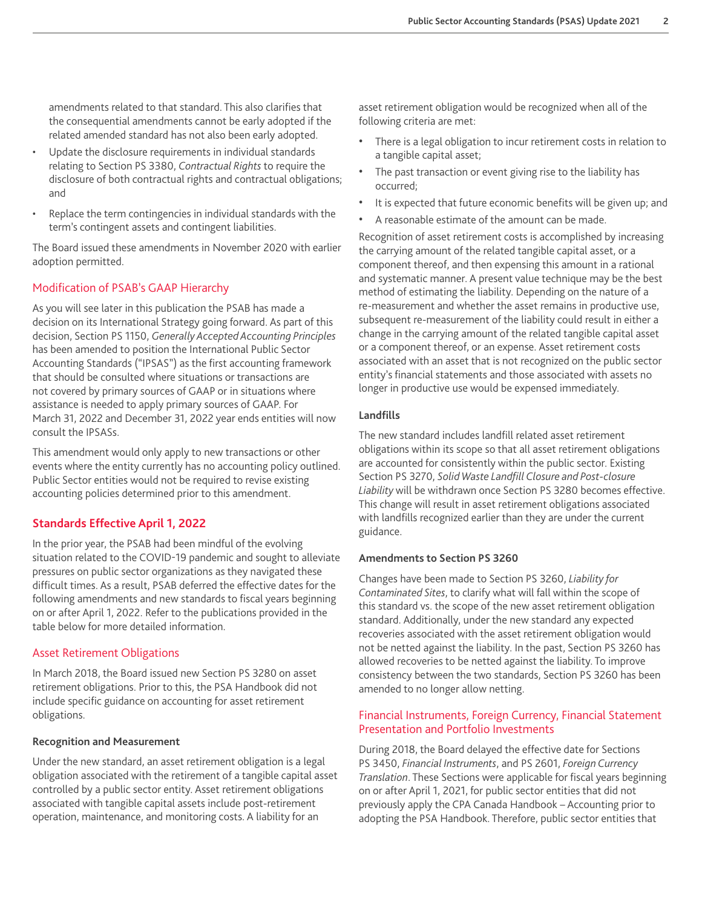amendments related to that standard. This also clarifies that the consequential amendments cannot be early adopted if the related amended standard has not also been early adopted.

- Update the disclosure requirements in individual standards relating to Section PS 3380, *Contractual Rights* to require the disclosure of both contractual rights and contractual obligations; and
- Replace the term contingencies in individual standards with the term's contingent assets and contingent liabilities.

The Board issued these amendments in November 2020 with earlier adoption permitted.

#### Modification of PSAB's GAAP Hierarchy

As you will see later in this publication the PSAB has made a decision on its International Strategy going forward. As part of this decision, Section PS 1150, *Generally Accepted Accounting Principles* has been amended to position the International Public Sector Accounting Standards ("IPSAS") as the first accounting framework that should be consulted where situations or transactions are not covered by primary sources of GAAP or in situations where assistance is needed to apply primary sources of GAAP. For March 31, 2022 and December 31, 2022 year ends entities will now consult the IPSASs.

This amendment would only apply to new transactions or other events where the entity currently has no accounting policy outlined. Public Sector entities would not be required to revise existing accounting policies determined prior to this amendment.

#### **Standards Effective April 1, 2022**

In the prior year, the PSAB had been mindful of the evolving situation related to the COVID-19 pandemic and sought to alleviate pressures on public sector organizations as they navigated these difficult times. As a result, PSAB deferred the effective dates for the following amendments and new standards to fiscal years beginning on or after April 1, 2022. Refer to the publications provided in the table below for more detailed information.

#### Asset Retirement Obligations

In March 2018, the Board issued new Section PS 3280 on asset retirement obligations. Prior to this, the PSA Handbook did not include specific guidance on accounting for asset retirement obligations.

#### **Recognition and Measurement**

Under the new standard, an asset retirement obligation is a legal obligation associated with the retirement of a tangible capital asset controlled by a public sector entity. Asset retirement obligations associated with tangible capital assets include post-retirement operation, maintenance, and monitoring costs. A liability for an

asset retirement obligation would be recognized when all of the following criteria are met:

- There is a legal obligation to incur retirement costs in relation to a tangible capital asset;
- The past transaction or event giving rise to the liability has occurred;
- It is expected that future economic benefits will be given up; and
- A reasonable estimate of the amount can be made.

Recognition of asset retirement costs is accomplished by increasing the carrying amount of the related tangible capital asset, or a component thereof, and then expensing this amount in a rational and systematic manner. A present value technique may be the best method of estimating the liability. Depending on the nature of a re-measurement and whether the asset remains in productive use, subsequent re-measurement of the liability could result in either a change in the carrying amount of the related tangible capital asset or a component thereof, or an expense. Asset retirement costs associated with an asset that is not recognized on the public sector entity's financial statements and those associated with assets no longer in productive use would be expensed immediately.

#### **Landfills**

The new standard includes landfill related asset retirement obligations within its scope so that all asset retirement obligations are accounted for consistently within the public sector. Existing Section PS 3270, *Solid Waste Landfill Closure and Post-closure Liability* will be withdrawn once Section PS 3280 becomes effective. This change will result in asset retirement obligations associated with landfills recognized earlier than they are under the current guidance.

#### **Amendments to Section PS 3260**

Changes have been made to Section PS 3260, *Liability for Contaminated Sites*, to clarify what will fall within the scope of this standard vs. the scope of the new asset retirement obligation standard. Additionally, under the new standard any expected recoveries associated with the asset retirement obligation would not be netted against the liability. In the past, Section PS 3260 has allowed recoveries to be netted against the liability. To improve consistency between the two standards, Section PS 3260 has been amended to no longer allow netting.

#### Financial Instruments, Foreign Currency, Financial Statement Presentation and Portfolio Investments

During 2018, the Board delayed the effective date for Sections PS 3450, *Financial Instruments*, and PS 2601, *Foreign Currency Translation*. These Sections were applicable for fiscal years beginning on or after April 1, 2021, for public sector entities that did not previously apply the CPA Canada Handbook – Accounting prior to adopting the PSA Handbook. Therefore, public sector entities that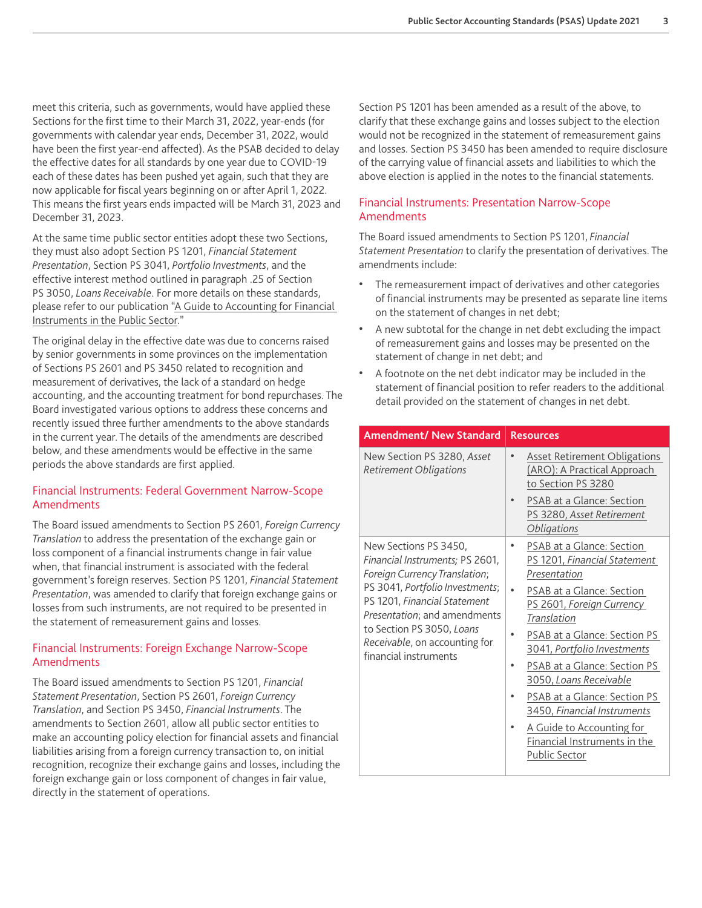meet this criteria, such as governments, would have applied these Sections for the first time to their March 31, 2022, year-ends (for governments with calendar year ends, December 31, 2022, would have been the first year-end affected). As the PSAB decided to delay the effective dates for all standards by one year due to COVID-19 each of these dates has been pushed yet again, such that they are now applicable for fiscal years beginning on or after April 1, 2022. This means the first years ends impacted will be March 31, 2023 and December 31, 2023.

At the same time public sector entities adopt these two Sections, they must also adopt Section PS 1201, *Financial Statement Presentation*, Section PS 3041, *Portfolio Investments*, and the effective interest method outlined in paragraph .25 of Section PS 3050, *Loans Receivable*. For more details on these standards, please refer to our publication "A Guide to Accounting for Financial [Instruments in the Public Sector](https://www.bdo.ca/en-ca/insights/assurance-accounting/psas/a-guide-to-accounting-for-financial-instruments-in-the-public-sector/)."

The original delay in the effective date was due to concerns raised by senior governments in some provinces on the implementation of Sections PS 2601 and PS 3450 related to recognition and measurement of derivatives, the lack of a standard on hedge accounting, and the accounting treatment for bond repurchases. The Board investigated various options to address these concerns and recently issued three further amendments to the above standards in the current year. The details of the amendments are described below, and these amendments would be effective in the same periods the above standards are first applied.

#### Financial Instruments: Federal Government Narrow-Scope **Amendments**

The Board issued amendments to Section PS 2601, *Foreign Currency Translation* to address the presentation of the exchange gain or loss component of a financial instruments change in fair value when, that financial instrument is associated with the federal government's foreign reserves. Section PS 1201, *Financial Statement Presentation*, was amended to clarify that foreign exchange gains or losses from such instruments, are not required to be presented in the statement of remeasurement gains and losses.

#### Financial Instruments: Foreign Exchange Narrow-Scope Amendments

The Board issued amendments to Section PS 1201, *Financial Statement Presentation*, Section PS 2601, *Foreign Currency Translation*, and Section PS 3450, *Financial Instruments*. The amendments to Section 2601, allow all public sector entities to make an accounting policy election for financial assets and financial liabilities arising from a foreign currency transaction to, on initial recognition, recognize their exchange gains and losses, including the foreign exchange gain or loss component of changes in fair value, directly in the statement of operations.

Section PS 1201 has been amended as a result of the above, to clarify that these exchange gains and losses subject to the election would not be recognized in the statement of remeasurement gains and losses. Section PS 3450 has been amended to require disclosure of the carrying value of financial assets and liabilities to which the above election is applied in the notes to the financial statements.

#### Financial Instruments: Presentation Narrow-Scope Amendments

The Board issued amendments to Section PS 1201, *Financial Statement Presentation* to clarify the presentation of derivatives. The amendments include:

- The remeasurement impact of derivatives and other categories of financial instruments may be presented as separate line items on the statement of changes in net debt;
- A new subtotal for the change in net debt excluding the impact of remeasurement gains and losses may be presented on the statement of change in net debt; and
- A footnote on the net debt indicator may be included in the statement of financial position to refer readers to the additional detail provided on the statement of changes in net debt.

| <b>Amendment/ New Standard</b>                                                                                                                                                                                                                                                      | <b>Resources</b>                                                                                                                                                                                                                                                                                                                                                                                                                           |
|-------------------------------------------------------------------------------------------------------------------------------------------------------------------------------------------------------------------------------------------------------------------------------------|--------------------------------------------------------------------------------------------------------------------------------------------------------------------------------------------------------------------------------------------------------------------------------------------------------------------------------------------------------------------------------------------------------------------------------------------|
| New Section PS 3280, Asset<br><b>Retirement Obligations</b>                                                                                                                                                                                                                         | <b>Asset Retirement Obligations</b><br>$\bullet$<br>(ARO): A Practical Approach<br>to Section PS 3280<br>PSAB at a Glance: Section<br>PS 3280, Asset Retirement<br><i><b>Obligations</b></i>                                                                                                                                                                                                                                               |
| New Sections PS 3450,<br>Financial Instruments; PS 2601,<br>Foreign Currency Translation;<br>PS 3041, Portfolio Investments;<br>PS 1201, Financial Statement<br>Presentation; and amendments<br>to Section PS 3050, Loans<br>Receivable, on accounting for<br>financial instruments | PSAB at a Glance: Section<br>٠<br>PS 1201, Financial Statement<br>Presentation<br>PSAB at a Glance: Section<br>$\bullet$<br>PS 2601, Foreign Currency<br>Translation<br>PSAB at a Glance: Section PS<br>3041, Portfolio Investments<br>PSAB at a Glance: Section PS<br>3050, Loans Receivable<br>PSAB at a Glance: Section PS<br>3450, Financial Instruments<br>A Guide to Accounting for<br>Financial Instruments in the<br>Public Sector |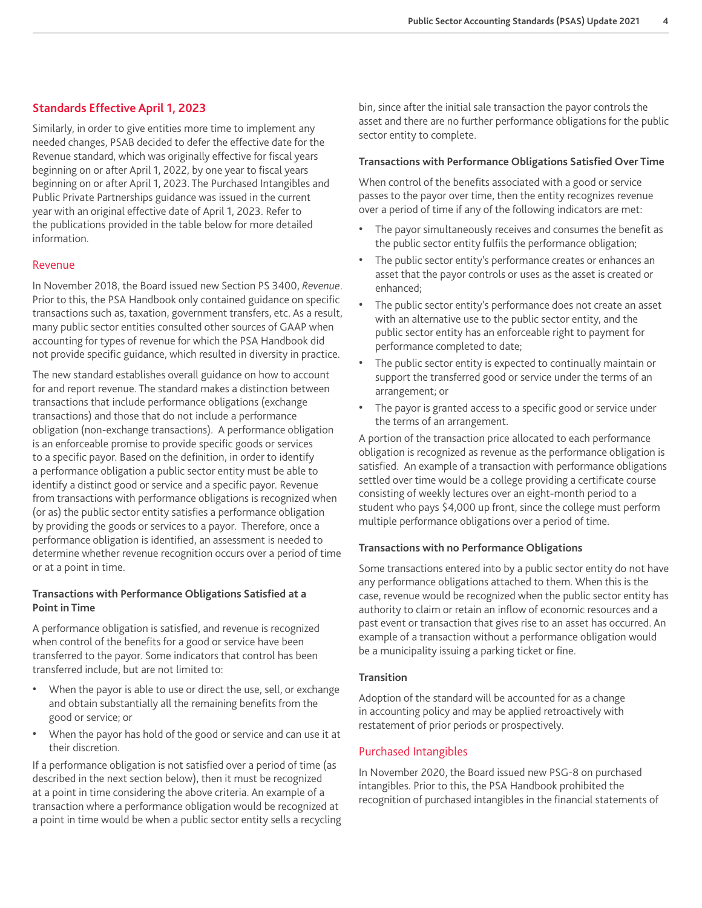#### **Standards Effective April 1, 2023**

Similarly, in order to give entities more time to implement any needed changes, PSAB decided to defer the effective date for the Revenue standard, which was originally effective for fiscal years beginning on or after April 1, 2022, by one year to fiscal years beginning on or after April 1, 2023. The Purchased Intangibles and Public Private Partnerships guidance was issued in the current year with an original effective date of April 1, 2023. Refer to the publications provided in the table below for more detailed information.

#### Revenue

In November 2018, the Board issued new Section PS 3400, *Revenue*. Prior to this, the PSA Handbook only contained guidance on specific transactions such as, taxation, government transfers, etc. As a result, many public sector entities consulted other sources of GAAP when accounting for types of revenue for which the PSA Handbook did not provide specific guidance, which resulted in diversity in practice.

The new standard establishes overall guidance on how to account for and report revenue. The standard makes a distinction between transactions that include performance obligations (exchange transactions) and those that do not include a performance obligation (non-exchange transactions). A performance obligation is an enforceable promise to provide specific goods or services to a specific payor. Based on the definition, in order to identify a performance obligation a public sector entity must be able to identify a distinct good or service and a specific payor. Revenue from transactions with performance obligations is recognized when (or as) the public sector entity satisfies a performance obligation by providing the goods or services to a payor. Therefore, once a performance obligation is identified, an assessment is needed to determine whether revenue recognition occurs over a period of time or at a point in time.

#### **Transactions with Performance Obligations Satisfied at a Point in Time**

A performance obligation is satisfied, and revenue is recognized when control of the benefits for a good or service have been transferred to the payor. Some indicators that control has been transferred include, but are not limited to:

- When the payor is able to use or direct the use, sell, or exchange and obtain substantially all the remaining benefits from the good or service; or
- When the payor has hold of the good or service and can use it at their discretion.

If a performance obligation is not satisfied over a period of time (as described in the next section below), then it must be recognized at a point in time considering the above criteria. An example of a transaction where a performance obligation would be recognized at a point in time would be when a public sector entity sells a recycling bin, since after the initial sale transaction the payor controls the asset and there are no further performance obligations for the public sector entity to complete.

#### **Transactions with Performance Obligations Satisfied Over Time**

When control of the benefits associated with a good or service passes to the payor over time, then the entity recognizes revenue over a period of time if any of the following indicators are met:

- The payor simultaneously receives and consumes the benefit as the public sector entity fulfils the performance obligation;
- The public sector entity's performance creates or enhances an asset that the payor controls or uses as the asset is created or enhanced;
- The public sector entity's performance does not create an asset with an alternative use to the public sector entity, and the public sector entity has an enforceable right to payment for performance completed to date;
- The public sector entity is expected to continually maintain or support the transferred good or service under the terms of an arrangement; or
- The payor is granted access to a specific good or service under the terms of an arrangement.

A portion of the transaction price allocated to each performance obligation is recognized as revenue as the performance obligation is satisfied. An example of a transaction with performance obligations settled over time would be a college providing a certificate course consisting of weekly lectures over an eight-month period to a student who pays \$4,000 up front, since the college must perform multiple performance obligations over a period of time.

#### **Transactions with no Performance Obligations**

Some transactions entered into by a public sector entity do not have any performance obligations attached to them. When this is the case, revenue would be recognized when the public sector entity has authority to claim or retain an inflow of economic resources and a past event or transaction that gives rise to an asset has occurred. An example of a transaction without a performance obligation would be a municipality issuing a parking ticket or fine.

#### **Transition**

Adoption of the standard will be accounted for as a change in accounting policy and may be applied retroactively with restatement of prior periods or prospectively.

#### Purchased Intangibles

In November 2020, the Board issued new PSG-8 on purchased intangibles. Prior to this, the PSA Handbook prohibited the recognition of purchased intangibles in the financial statements of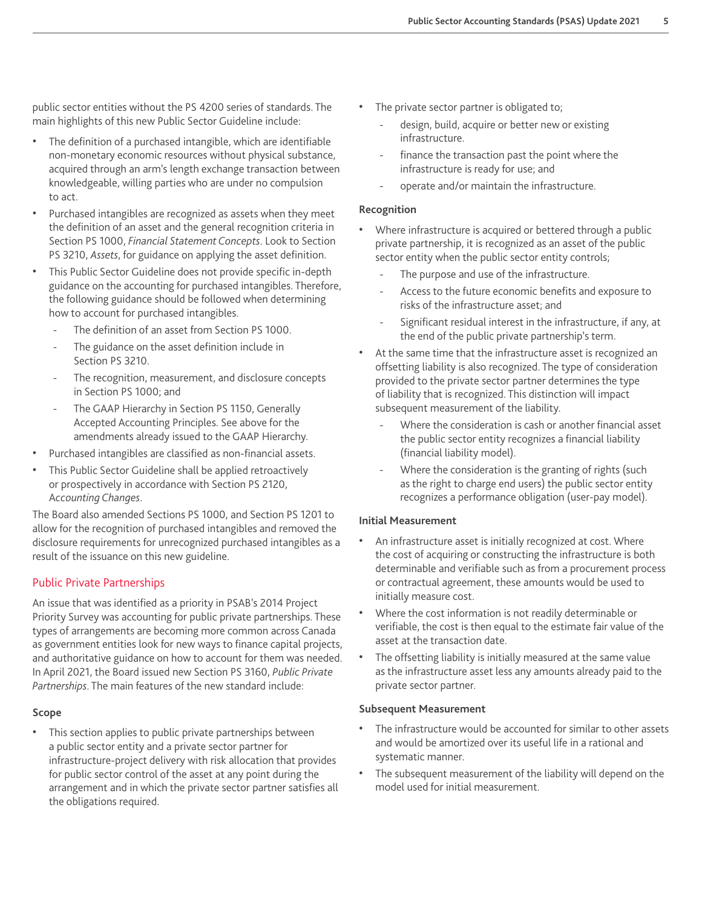public sector entities without the PS 4200 series of standards. The main highlights of this new Public Sector Guideline include:

- The definition of a purchased intangible, which are identifiable non-monetary economic resources without physical substance, acquired through an arm's length exchange transaction between knowledgeable, willing parties who are under no compulsion to act.
- Purchased intangibles are recognized as assets when they meet the definition of an asset and the general recognition criteria in Section PS 1000, *Financial Statement Concepts*. Look to Section PS 3210, *Assets*, for guidance on applying the asset definition.
- This Public Sector Guideline does not provide specific in-depth guidance on the accounting for purchased intangibles. Therefore, the following guidance should be followed when determining how to account for purchased intangibles.
	- The definition of an asset from Section PS 1000.
	- The guidance on the asset definition include in Section PS 3210.
	- The recognition, measurement, and disclosure concepts in Section PS 1000; and
	- The GAAP Hierarchy in Section PS 1150, Generally Accepted Accounting Principles. See above for the amendments already issued to the GAAP Hierarchy.
- Purchased intangibles are classified as non-financial assets.
- This Public Sector Guideline shall be applied retroactively or prospectively in accordance with Section PS 2120, A*ccounting Changes*.

The Board also amended Sections PS 1000, and Section PS 1201 to allow for the recognition of purchased intangibles and removed the disclosure requirements for unrecognized purchased intangibles as a result of the issuance on this new guideline.

#### Public Private Partnerships

An issue that was identified as a priority in PSAB's 2014 Project Priority Survey was accounting for public private partnerships. These types of arrangements are becoming more common across Canada as government entities look for new ways to finance capital projects, and authoritative guidance on how to account for them was needed. In April 2021, the Board issued new Section PS 3160, *Public Private Partnerships*. The main features of the new standard include:

#### **Scope**

• This section applies to public private partnerships between a public sector entity and a private sector partner for infrastructure-project delivery with risk allocation that provides for public sector control of the asset at any point during the arrangement and in which the private sector partner satisfies all the obligations required.

- The private sector partner is obligated to;
	- design, build, acquire or better new or existing infrastructure.
	- finance the transaction past the point where the infrastructure is ready for use; and
	- operate and/or maintain the infrastructure.

#### **Recognition**

- Where infrastructure is acquired or bettered through a public private partnership, it is recognized as an asset of the public sector entity when the public sector entity controls;
	- The purpose and use of the infrastructure.
	- Access to the future economic benefits and exposure to risks of the infrastructure asset; and
	- Significant residual interest in the infrastructure, if any, at the end of the public private partnership's term.
- At the same time that the infrastructure asset is recognized an offsetting liability is also recognized. The type of consideration provided to the private sector partner determines the type of liability that is recognized. This distinction will impact subsequent measurement of the liability.
	- Where the consideration is cash or another financial asset the public sector entity recognizes a financial liability (financial liability model).
	- Where the consideration is the granting of rights (such as the right to charge end users) the public sector entity recognizes a performance obligation (user-pay model).

#### **Initial Measurement**

- An infrastructure asset is initially recognized at cost. Where the cost of acquiring or constructing the infrastructure is both determinable and verifiable such as from a procurement process or contractual agreement, these amounts would be used to initially measure cost.
- Where the cost information is not readily determinable or verifiable, the cost is then equal to the estimate fair value of the asset at the transaction date.
- The offsetting liability is initially measured at the same value as the infrastructure asset less any amounts already paid to the private sector partner.

#### **Subsequent Measurement**

- The infrastructure would be accounted for similar to other assets and would be amortized over its useful life in a rational and systematic manner.
- The subsequent measurement of the liability will depend on the model used for initial measurement.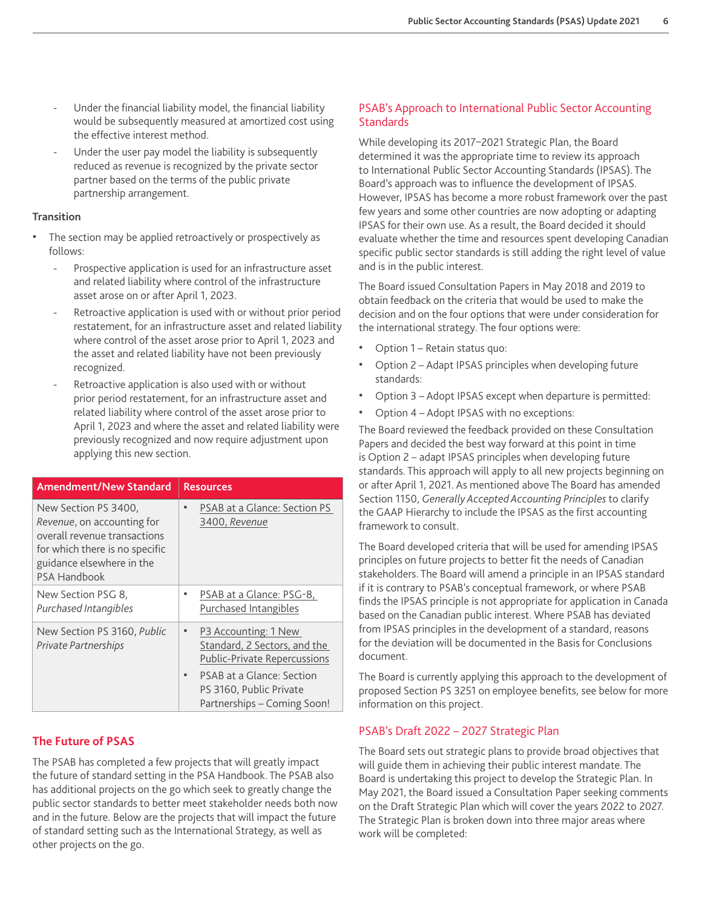- Under the financial liability model, the financial liability would be subsequently measured at amortized cost using the effective interest method.
- Under the user pay model the liability is subsequently reduced as revenue is recognized by the private sector partner based on the terms of the public private partnership arrangement.

#### **Transition**

- The section may be applied retroactively or prospectively as follows:
	- Prospective application is used for an infrastructure asset and related liability where control of the infrastructure asset arose on or after April 1, 2023.
	- Retroactive application is used with or without prior period restatement, for an infrastructure asset and related liability where control of the asset arose prior to April 1, 2023 and the asset and related liability have not been previously recognized.
	- Retroactive application is also used with or without prior period restatement, for an infrastructure asset and related liability where control of the asset arose prior to April 1, 2023 and where the asset and related liability were previously recognized and now require adjustment upon applying this new section.

| <b>Amendment/New Standard</b>                                                                                                                                            | <b>Resources</b>                                                                                         |
|--------------------------------------------------------------------------------------------------------------------------------------------------------------------------|----------------------------------------------------------------------------------------------------------|
| New Section PS 3400.<br>Revenue, on accounting for<br>overall revenue transactions<br>for which there is no specific<br>guidance elsewhere in the<br><b>PSA Handbook</b> | PSAB at a Glance: Section PS<br>3400, Revenue                                                            |
| New Section PSG 8,<br>Purchased Intangibles                                                                                                                              | PSAB at a Glance: PSG-8,<br>Purchased Intangibles                                                        |
| New Section PS 3160, Public<br>Private Partnerships                                                                                                                      | P3 Accounting: 1 New<br>$\bullet$<br>Standard, 2 Sectors, and the<br><b>Public-Private Repercussions</b> |
|                                                                                                                                                                          | PSAB at a Glance: Section<br>PS 3160, Public Private<br>Partnerships - Coming Soon!                      |

#### **The Future of PSAS**

The PSAB has completed a few projects that will greatly impact the future of standard setting in the PSA Handbook. The PSAB also has additional projects on the go which seek to greatly change the public sector standards to better meet stakeholder needs both now and in the future. Below are the projects that will impact the future of standard setting such as the International Strategy, as well as other projects on the go.

#### PSAB's Approach to International Public Sector Accounting **Standards**

While developing its 2017–2021 Strategic Plan, the Board determined it was the appropriate time to review its approach to International Public Sector Accounting Standards (IPSAS). The Board's approach was to influence the development of IPSAS. However, IPSAS has become a more robust framework over the past few years and some other countries are now adopting or adapting IPSAS for their own use. As a result, the Board decided it should evaluate whether the time and resources spent developing Canadian specific public sector standards is still adding the right level of value and is in the public interest.

The Board issued Consultation Papers in May 2018 and 2019 to obtain feedback on the criteria that would be used to make the decision and on the four options that were under consideration for the international strategy. The four options were:

- Option 1 Retain status quo:
- Option 2 Adapt IPSAS principles when developing future standards:
- Option 3 Adopt IPSAS except when departure is permitted:
- Option 4 Adopt IPSAS with no exceptions:

The Board reviewed the feedback provided on these Consultation Papers and decided the best way forward at this point in time is Option 2 – adapt IPSAS principles when developing future standards. This approach will apply to all new projects beginning on or after April 1, 2021. As mentioned above The Board has amended Section 1150, *Generally Accepted Accounting Principles* to clarify the GAAP Hierarchy to include the IPSAS as the first accounting framework to consult.

The Board developed criteria that will be used for amending IPSAS principles on future projects to better fit the needs of Canadian stakeholders. The Board will amend a principle in an IPSAS standard if it is contrary to PSAB's conceptual framework, or where PSAB finds the IPSAS principle is not appropriate for application in Canada based on the Canadian public interest. Where PSAB has deviated from IPSAS principles in the development of a standard, reasons for the deviation will be documented in the Basis for Conclusions document.

The Board is currently applying this approach to the development of proposed Section PS 3251 on employee benefits, see below for more information on this project.

#### PSAB's Draft 2022 – 2027 Strategic Plan

The Board sets out strategic plans to provide broad objectives that will guide them in achieving their public interest mandate. The Board is undertaking this project to develop the Strategic Plan. In May 2021, the Board issued a Consultation Paper seeking comments on the Draft Strategic Plan which will cover the years 2022 to 2027. The Strategic Plan is broken down into three major areas where work will be completed: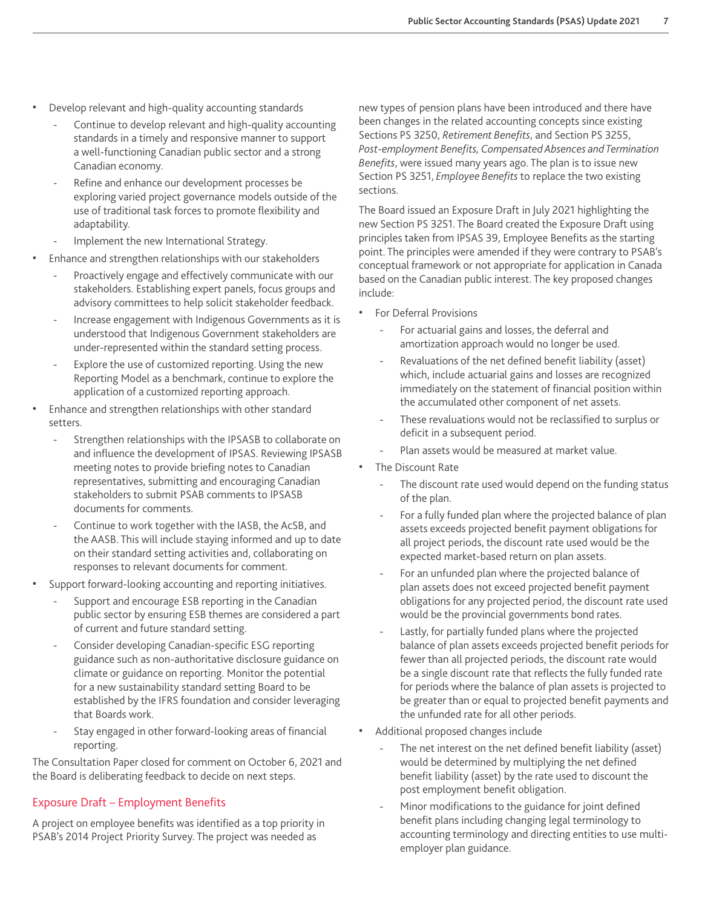- Develop relevant and high-quality accounting standards
	- Continue to develop relevant and high-quality accounting standards in a timely and responsive manner to support a well-functioning Canadian public sector and a strong Canadian economy.
	- Refine and enhance our development processes be exploring varied project governance models outside of the use of traditional task forces to promote flexibility and adaptability.
	- Implement the new International Strategy.
- Enhance and strengthen relationships with our stakeholders
	- Proactively engage and effectively communicate with our stakeholders. Establishing expert panels, focus groups and advisory committees to help solicit stakeholder feedback.
	- Increase engagement with Indigenous Governments as it is understood that Indigenous Government stakeholders are under-represented within the standard setting process.
	- Explore the use of customized reporting. Using the new Reporting Model as a benchmark, continue to explore the application of a customized reporting approach.
- Enhance and strengthen relationships with other standard setters.
	- Strengthen relationships with the IPSASB to collaborate on and influence the development of IPSAS. Reviewing IPSASB meeting notes to provide briefing notes to Canadian representatives, submitting and encouraging Canadian stakeholders to submit PSAB comments to IPSASB documents for comments.
	- Continue to work together with the IASB, the AcSB, and the AASB. This will include staying informed and up to date on their standard setting activities and, collaborating on responses to relevant documents for comment.
- Support forward-looking accounting and reporting initiatives.
	- Support and encourage ESB reporting in the Canadian public sector by ensuring ESB themes are considered a part of current and future standard setting.
	- Consider developing Canadian-specific ESG reporting guidance such as non-authoritative disclosure guidance on climate or guidance on reporting. Monitor the potential for a new sustainability standard setting Board to be established by the IFRS foundation and consider leveraging that Boards work.
	- Stay engaged in other forward-looking areas of financial reporting.

The Consultation Paper closed for comment on October 6, 2021 and the Board is deliberating feedback to decide on next steps.

#### Exposure Draft – Employment Benefits

A project on employee benefits was identified as a top priority in PSAB's 2014 Project Priority Survey. The project was needed as

new types of pension plans have been introduced and there have been changes in the related accounting concepts since existing Sections PS 3250, *Retirement Benefits*, and Section PS 3255, *Post-employment Benefits, Compensated Absences and Termination Benefits*, were issued many years ago. The plan is to issue new Section PS 3251, *Employee Benefits* to replace the two existing sections.

The Board issued an Exposure Draft in July 2021 highlighting the new Section PS 3251. The Board created the Exposure Draft using principles taken from IPSAS 39, Employee Benefits as the starting point. The principles were amended if they were contrary to PSAB's conceptual framework or not appropriate for application in Canada based on the Canadian public interest. The key proposed changes include:

- For Deferral Provisions
	- For actuarial gains and losses, the deferral and amortization approach would no longer be used.
	- Revaluations of the net defined benefit liability (asset) which, include actuarial gains and losses are recognized immediately on the statement of financial position within the accumulated other component of net assets.
	- These revaluations would not be reclassified to surplus or deficit in a subsequent period.
	- Plan assets would be measured at market value.
- The Discount Rate
	- The discount rate used would depend on the funding status of the plan.
	- For a fully funded plan where the projected balance of plan assets exceeds projected benefit payment obligations for all project periods, the discount rate used would be the expected market-based return on plan assets.
	- For an unfunded plan where the projected balance of plan assets does not exceed projected benefit payment obligations for any projected period, the discount rate used would be the provincial governments bond rates.
	- Lastly, for partially funded plans where the projected balance of plan assets exceeds projected benefit periods for fewer than all projected periods, the discount rate would be a single discount rate that reflects the fully funded rate for periods where the balance of plan assets is projected to be greater than or equal to projected benefit payments and the unfunded rate for all other periods.
- Additional proposed changes include
	- The net interest on the net defined benefit liability (asset) would be determined by multiplying the net defined benefit liability (asset) by the rate used to discount the post employment benefit obligation.
	- Minor modifications to the guidance for joint defined benefit plans including changing legal terminology to accounting terminology and directing entities to use multiemployer plan guidance.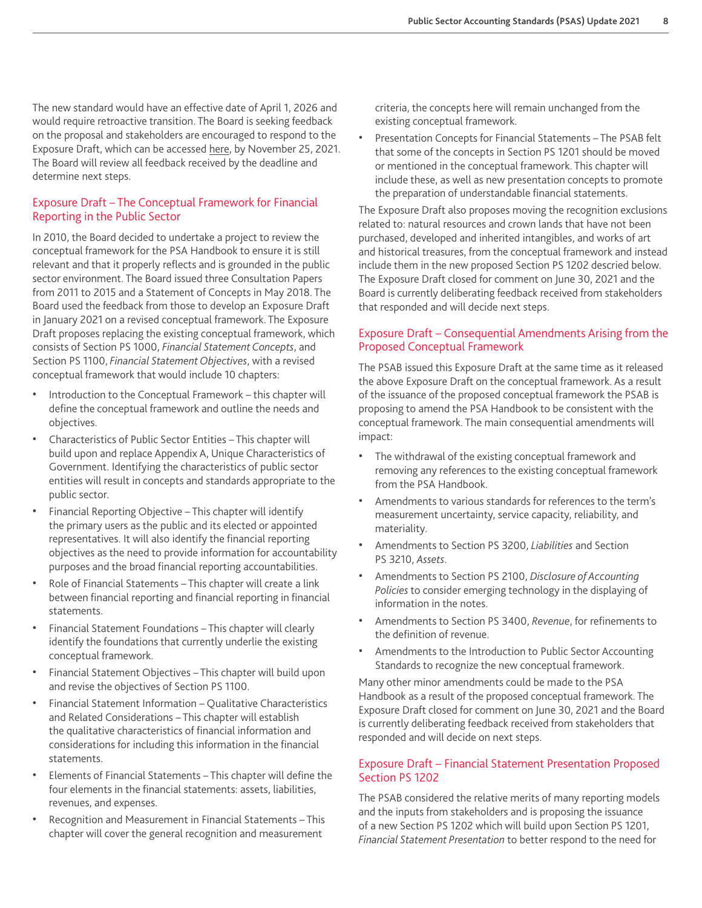The new standard would have an effective date of April 1, 2026 and would require retroactive transition. The Board is seeking feedback on the proposal and stakeholders are encouraged to respond to the Exposure Draft, which can be accessed [here](https://www.frascanada.ca/en/public-sector/documents/exposure-draft-employee-benefits), by November 25, 2021. The Board will review all feedback received by the deadline and determine next steps.

#### Exposure Draft – The Conceptual Framework for Financial Reporting in the Public Sector

In 2010, the Board decided to undertake a project to review the conceptual framework for the PSA Handbook to ensure it is still relevant and that it properly reflects and is grounded in the public sector environment. The Board issued three Consultation Papers from 2011 to 2015 and a Statement of Concepts in May 2018. The Board used the feedback from those to develop an Exposure Draft in January 2021 on a revised conceptual framework. The Exposure Draft proposes replacing the existing conceptual framework, which consists of Section PS 1000, *Financial Statement Concepts*, and Section PS 1100, *Financial Statement Objectives*, with a revised conceptual framework that would include 10 chapters:

- Introduction to the Conceptual Framework this chapter will define the conceptual framework and outline the needs and objectives.
- Characteristics of Public Sector Entities This chapter will build upon and replace Appendix A, Unique Characteristics of Government. Identifying the characteristics of public sector entities will result in concepts and standards appropriate to the public sector.
- Financial Reporting Objective This chapter will identify the primary users as the public and its elected or appointed representatives. It will also identify the financial reporting objectives as the need to provide information for accountability purposes and the broad financial reporting accountabilities.
- Role of Financial Statements This chapter will create a link between financial reporting and financial reporting in financial statements.
- Financial Statement Foundations This chapter will clearly identify the foundations that currently underlie the existing conceptual framework.
- Financial Statement Objectives This chapter will build upon and revise the objectives of Section PS 1100.
- Financial Statement Information Qualitative Characteristics and Related Considerations – This chapter will establish the qualitative characteristics of financial information and considerations for including this information in the financial statements.
- Elements of Financial Statements This chapter will define the four elements in the financial statements: assets, liabilities, revenues, and expenses.
- Recognition and Measurement in Financial Statements This chapter will cover the general recognition and measurement

criteria, the concepts here will remain unchanged from the existing conceptual framework.

• Presentation Concepts for Financial Statements – The PSAB felt that some of the concepts in Section PS 1201 should be moved or mentioned in the conceptual framework. This chapter will include these, as well as new presentation concepts to promote the preparation of understandable financial statements.

The Exposure Draft also proposes moving the recognition exclusions related to: natural resources and crown lands that have not been purchased, developed and inherited intangibles, and works of art and historical treasures, from the conceptual framework and instead include them in the new proposed Section PS 1202 descried below. The Exposure Draft closed for comment on June 30, 2021 and the Board is currently deliberating feedback received from stakeholders that responded and will decide next steps.

#### Exposure Draft – Consequential Amendments Arising from the Proposed Conceptual Framework

The PSAB issued this Exposure Draft at the same time as it released the above Exposure Draft on the conceptual framework. As a result of the issuance of the proposed conceptual framework the PSAB is proposing to amend the PSA Handbook to be consistent with the conceptual framework. The main consequential amendments will impact:

- The withdrawal of the existing conceptual framework and removing any references to the existing conceptual framework from the PSA Handbook.
- Amendments to various standards for references to the term's measurement uncertainty, service capacity, reliability, and materiality.
- Amendments to Section PS 3200, *Liabilities* and Section PS 3210, *Assets*.
- Amendments to Section PS 2100, *Disclosure of Accounting Policies* to consider emerging technology in the displaying of information in the notes.
- Amendments to Section PS 3400, *Revenue*, for refinements to the definition of revenue.
- Amendments to the Introduction to Public Sector Accounting Standards to recognize the new conceptual framework.

Many other minor amendments could be made to the PSA Handbook as a result of the proposed conceptual framework. The Exposure Draft closed for comment on June 30, 2021 and the Board is currently deliberating feedback received from stakeholders that responded and will decide on next steps.

#### Exposure Draft – Financial Statement Presentation Proposed Section PS 1202

The PSAB considered the relative merits of many reporting models and the inputs from stakeholders and is proposing the issuance of a new Section PS 1202 which will build upon Section PS 1201, *Financial Statement Presentation* to better respond to the need for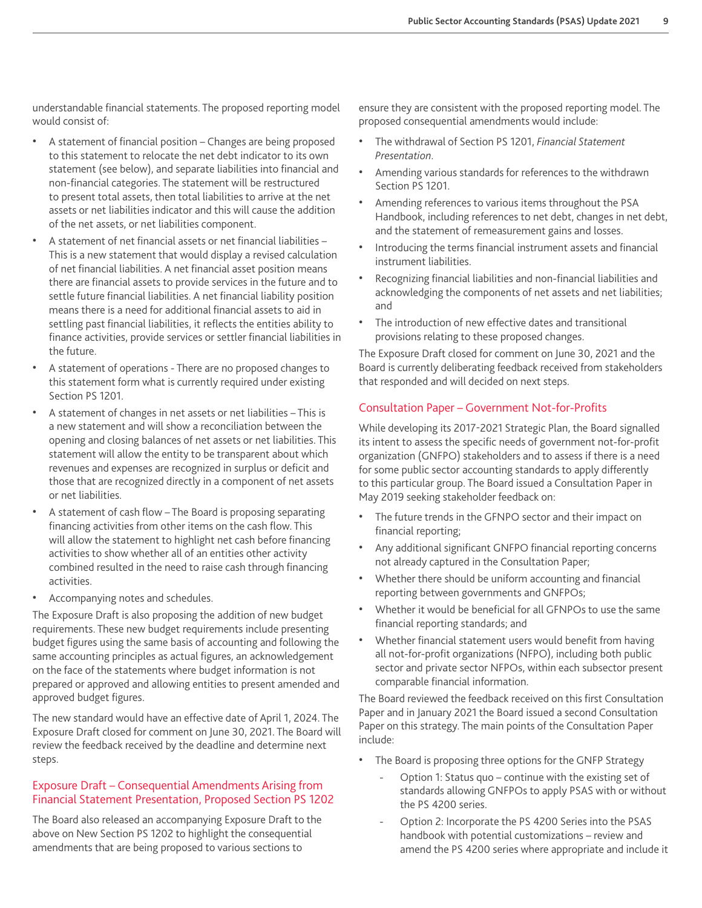understandable financial statements. The proposed reporting model would consist of:

- A statement of financial position Changes are being proposed to this statement to relocate the net debt indicator to its own statement (see below), and separate liabilities into financial and non-financial categories. The statement will be restructured to present total assets, then total liabilities to arrive at the net assets or net liabilities indicator and this will cause the addition of the net assets, or net liabilities component.
- A statement of net financial assets or net financial liabilities This is a new statement that would display a revised calculation of net financial liabilities. A net financial asset position means there are financial assets to provide services in the future and to settle future financial liabilities. A net financial liability position means there is a need for additional financial assets to aid in settling past financial liabilities, it reflects the entities ability to finance activities, provide services or settler financial liabilities in the future.
- A statement of operations There are no proposed changes to this statement form what is currently required under existing Section PS 1201.
- A statement of changes in net assets or net liabilities This is a new statement and will show a reconciliation between the opening and closing balances of net assets or net liabilities. This statement will allow the entity to be transparent about which revenues and expenses are recognized in surplus or deficit and those that are recognized directly in a component of net assets or net liabilities.
- A statement of cash flow The Board is proposing separating financing activities from other items on the cash flow. This will allow the statement to highlight net cash before financing activities to show whether all of an entities other activity combined resulted in the need to raise cash through financing activities.
- Accompanying notes and schedules.

The Exposure Draft is also proposing the addition of new budget requirements. These new budget requirements include presenting budget figures using the same basis of accounting and following the same accounting principles as actual figures, an acknowledgement on the face of the statements where budget information is not prepared or approved and allowing entities to present amended and approved budget figures.

The new standard would have an effective date of April 1, 2024. The Exposure Draft closed for comment on June 30, 2021. The Board will review the feedback received by the deadline and determine next steps.

#### Exposure Draft – Consequential Amendments Arising from Financial Statement Presentation, Proposed Section PS 1202

The Board also released an accompanying Exposure Draft to the above on New Section PS 1202 to highlight the consequential amendments that are being proposed to various sections to

ensure they are consistent with the proposed reporting model. The proposed consequential amendments would include:

- The withdrawal of Section PS 1201, *Financial Statement Presentation*.
- Amending various standards for references to the withdrawn Section PS 1201.
- Amending references to various items throughout the PSA Handbook, including references to net debt, changes in net debt, and the statement of remeasurement gains and losses.
- Introducing the terms financial instrument assets and financial instrument liabilities.
- Recognizing financial liabilities and non-financial liabilities and acknowledging the components of net assets and net liabilities; and
- The introduction of new effective dates and transitional provisions relating to these proposed changes.

The Exposure Draft closed for comment on June 30, 2021 and the Board is currently deliberating feedback received from stakeholders that responded and will decided on next steps.

#### Consultation Paper – Government Not-for-Profits

While developing its 2017-2021 Strategic Plan, the Board signalled its intent to assess the specific needs of government not-for-profit organization (GNFPO) stakeholders and to assess if there is a need for some public sector accounting standards to apply differently to this particular group. The Board issued a Consultation Paper in May 2019 seeking stakeholder feedback on:

- The future trends in the GFNPO sector and their impact on financial reporting;
- Any additional significant GNFPO financial reporting concerns not already captured in the Consultation Paper;
- Whether there should be uniform accounting and financial reporting between governments and GNFPOs;
- Whether it would be beneficial for all GFNPOs to use the same financial reporting standards; and
- Whether financial statement users would benefit from having all not-for-profit organizations (NFPO), including both public sector and private sector NFPOs, within each subsector present comparable financial information.

The Board reviewed the feedback received on this first Consultation Paper and in January 2021 the Board issued a second Consultation Paper on this strategy. The main points of the Consultation Paper include:

- The Board is proposing three options for the GNFP Strategy
	- Option 1: Status quo continue with the existing set of standards allowing GNFPOs to apply PSAS with or without the PS 4200 series.
	- Option 2: Incorporate the PS 4200 Series into the PSAS handbook with potential customizations – review and amend the PS 4200 series where appropriate and include it